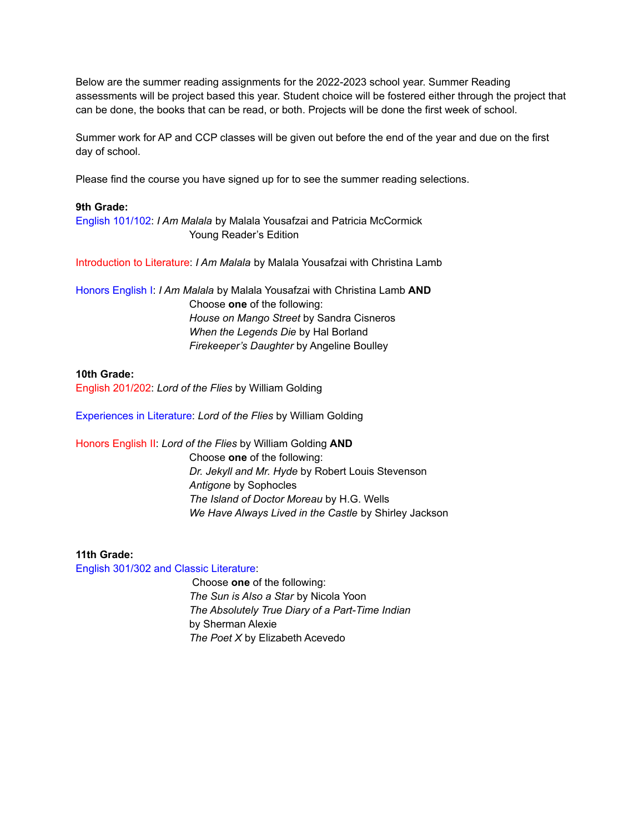Below are the summer reading assignments for the 2022-2023 school year. Summer Reading assessments will be project based this year. Student choice will be fostered either through the project that can be done, the books that can be read, or both. Projects will be done the first week of school.

Summer work for AP and CCP classes will be given out before the end of the year and due on the first day of school.

Please find the course you have signed up for to see the summer reading selections.

#### **9th Grade:**

English 101/102: *I Am Malala* by Malala Yousafzai and Patricia McCormick Young Reader's Edition

Introduction to Literature: *I Am Malala* by Malala Yousafzai with Christina Lamb

Honors English I: *I Am Malala* by Malala Yousafzai with Christina Lamb **AND** Choose **one** of the following: *House on Mango Street* by Sandra Cisneros *When the Legends Die* by Hal Borland *Firekeeper's Daughter* by Angeline Boulley

#### **10th Grade:**

English 201/202: *Lord of the Flies* by William Golding

Experiences in Literature: *Lord of the Flies* by William Golding

Honors English II: *Lord of the Flies* by William Golding **AND**

Choose **one** of the following: *Dr. Jekyll and Mr. Hyde* by Robert Louis Stevenson *Antigone* by Sophocles *The Island of Doctor Moreau* by H.G. Wells *We Have Always Lived in the Castle* by Shirley Jackson

## **11th Grade:**

English 301/302 and Classic Literature:

Choose **one** of the following: *The Sun is Also a Star* by Nicola Yoon *The Absolutely True Diary of a Part-Time Indian* by Sherman Alexie *The Poet X* by Elizabeth Acevedo